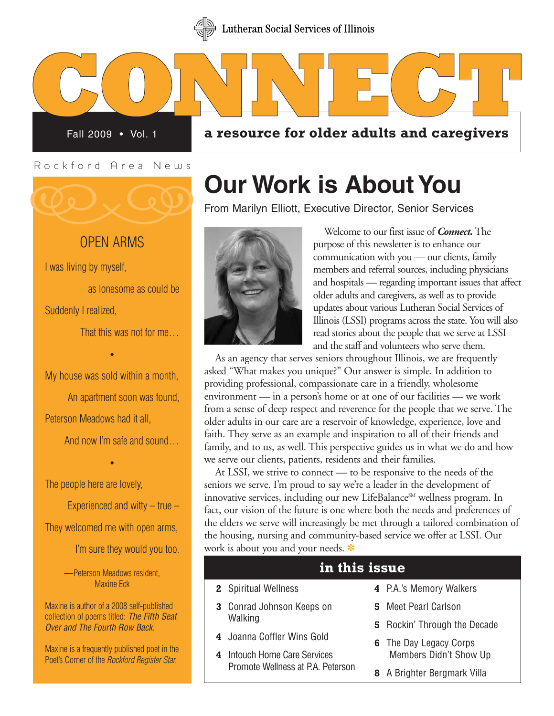

**C**<br>Fall 200 Fall 2009 • Vol. 1

**ON**<br>009 • Vol. 1 a resor **a** resource for older adults and caregivers

Rockford Area News



### OPEN ARMS

I was living by myself,

as lonesome as could be Suddenly I realized,

That this was not for me…

My house was sold within a month,

•

An apartment soon was found, Peterson Meadows had it all,

•

And now I'm safe and sound…

The people here are lovely,

Experienced and witty  $-$  true  $-$ 

They welcomed me with open arms,

I'm sure they would you too.

—Peterson Meadows resident, Maxine Eck

Maxine is author of a 2008 self-published collection of poems titled: *The Fifth Seat Over and The Fourth Row Back*.

Maxine is a frequently published poet in the Poet's Corner of the *Rockford Register Star*.

# **Our Work is About You**<br>From Marilyn Elliott, Executive Director, Senior Services



Welcome to our first issue of *Connect.*The purpose of this newsletter is to enhance our communication with you — our clients, family members and referral sources, including physicians and hospitals — regarding important issues that affect older adults and caregivers, as well as to provide updates about various Lutheran Social Services of Illinois (LSSI) programs across the state. You will also read stories about the people that we serve at LSSI and the staff and volunteers who serve them.

As an agency that serves seniors throughout Illinois, we are frequently asked "What makes you unique?" Our answer is simple. In addition to providing professional, compassionate care in a friendly, wholesome environment — in a person's home or at one of our facilities — we work from a sense of deep respect and reverence for the people that we serve. The older adults in our care are a reservoir of knowledge, experience, love and faith. They serve as an example and inspiration to all of their friends and family, and to us, as well. This perspective guides us in what we do and how we serve our clients, patients, residents and their families.

At LSSI, we strive to connect — to be responsive to the needs of the seniors we serve. I'm proud to say we're a leader in the development of innovative services, including our new LifeBalance<sup>SM</sup> wellness program. In fact, our vision of the future is one where both the needs and preferences of the elders we serve will increasingly be met through a tailored combination of the housing, nursing and community-based service we offer at LSSI. Our work is about you and your needs.

### **in this issue**

- **2** Spiritual Wellness
- **3** Conrad Johnson Keeps on **Walking**
- **4** Joanna Coffler Wins Gold
- **4** Intouch Home Care Services Promote Wellness at PA. Peterson
- **4** P.A.'s Memory Walkers
- **5** Meet Pearl Carlson
- **5** Rockin' Through the Decade
- **6** The Day Legacy Corps Members Didn't Show Up
- **8** A Brighter Bergmark Villa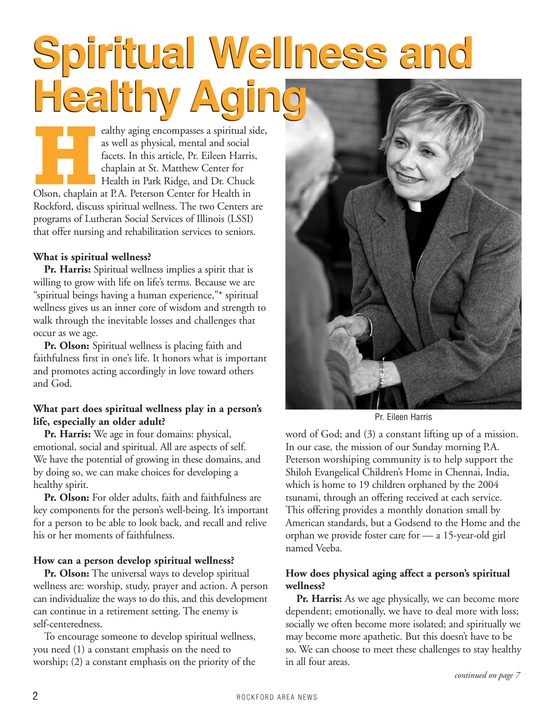# **Spiritual Wellness and Spiritual Wellness and Healthy Aging Healthy Aging**

**Healthy aging encompasses a spiritual side,**<br>as well as physical, mental and social<br>facets. In this article, Pr. Eileen Harris,<br>chaplain at St. Matthew Center for<br>Health in Park Ridge, and Dr. Chuck<br>Olson, chaplain at P.A as well as physical, mental and social facets. In this article, Pr. Eileen Harris, chaplain at St. Matthew Center for Health in Park Ridge, and Dr. Chuck Rockford, discuss spiritual wellness. The two Centers are programs of Lutheran Social Services of Illinois (LSSI) that offer nursing and rehabilitation services to seniors.

### **What is spiritual wellness?**

**Pr. Harris:** Spiritual wellness implies a spirit that is willing to grow with life on life's terms. Because we are "spiritual beings having a human experience,"\* spiritual wellness gives us an inner core of wisdom and strength to walk through the inevitable losses and challenges that occur as we age.

**Pr. Olson:** Spiritual wellness is placing faith and faithfulness first in one's life. It honors what is important and promotes acting accordingly in love toward others and God.

### **What part does spiritual wellness play in a person's life, especially an older adult?**

**Pr. Harris:** We age in four domains: physical, emotional, social and spiritual. All are aspects of self. We have the potential of growing in these domains, and by doing so, we can make choices for developing a healthy spirit.

**Pr. Olson:** For older adults, faith and faithfulness are key components for the person's well-being. It's important for a person to be able to look back, and recall and relive his or her moments of faithfulness.

### **How can a person develop spiritual wellness?**

**Pr. Olson:** The universal ways to develop spiritual wellness are: worship, study, prayer and action. A person can individualize the ways to do this, and this development can continue in a retirement setting. The enemy is self-centeredness.

To encourage someone to develop spiritual wellness, you need (1) a constant emphasis on the need to worship; (2) a constant emphasis on the priority of the



Pr. Eileen Harris

word of God; and (3) a constant lifting up of a mission. In our case, the mission of our Sunday morning P.A. Peterson worshiping community is to help support the Shiloh Evangelical Children's Home in Chennai, India, which is home to 19 children orphaned by the 2004 tsunami, through an offering received at each service. This offering provides a monthly donation small by American standards, but a Godsend to the Home and the orphan we provide foster care for — a 15-year-old girl named Veeba.

### **How does physical aging affect a person's spiritual wellness?**

**Pr. Harris:** As we age physically, we can become more dependent; emotionally, we have to deal more with loss; socially we often become more isolated; and spiritually we may become more apathetic. But this doesn't have to be so. We can choose to meet these challenges to stay healthy in all four areas.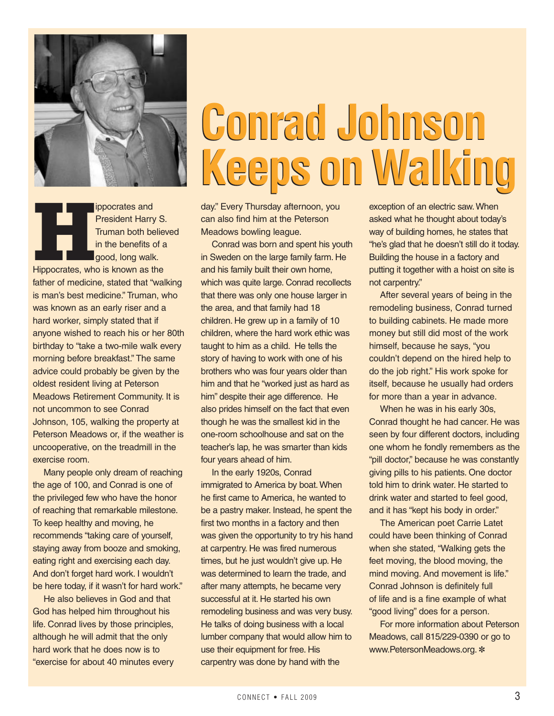

**Hippocrates and President Harry Struman both belief in the benefits of a good, long walk.<br>Hippocrates, who is known as the** President Harry S. Truman both believed in the benefits of a good, long walk.

father of medicine, stated that "walking is man's best medicine." Truman, who was known as an early riser and a hard worker, simply stated that if anyone wished to reach his or her 80th birthday to "take a two-mile walk every morning before breakfast." The same advice could probably be given by the oldest resident living at Peterson Meadows Retirement Community. It is not uncommon to see Conrad Johnson, 105, walking the property at Peterson Meadows or, if the weather is uncooperative, on the treadmill in the exercise room.

Many people only dream of reaching the age of 100, and Conrad is one of the privileged few who have the honor of reaching that remarkable milestone. To keep healthy and moving, he recommends "taking care of yourself, staying away from booze and smoking, eating right and exercising each day. And don't forget hard work. I wouldn't be here today, if it wasn't for hard work."

He also believes in God and that God has helped him throughout his life. Conrad lives by those principles, although he will admit that the only hard work that he does now is to "exercise for about 40 minutes every

# **Conrad Johnson Conrad Johnson Keeps on Walking Keeps on Walking**

day." Every Thursday afternoon, you can also find him at the Peterson Meadows bowling league.

Conrad was born and spent his youth in Sweden on the large family farm. He and his family built their own home, which was quite large. Conrad recollects that there was only one house larger in the area, and that family had 18 children. He grew up in a family of 10 children, where the hard work ethic was taught to him as a child. He tells the story of having to work with one of his brothers who was four years older than him and that he "worked just as hard as him" despite their age difference. He also prides himself on the fact that even though he was the smallest kid in the one-room schoolhouse and sat on the teacher's lap, he was smarter than kids four years ahead of him.

In the early 1920s, Conrad immigrated to America by boat. When he first came to America, he wanted to be a pastry maker. Instead, he spent the first two months in a factory and then was given the opportunity to try his hand at carpentry. He was fired numerous times, but he just wouldn't give up. He was determined to learn the trade, and after many attempts, he became very successful at it. He started his own remodeling business and was very busy. He talks of doing business with a local lumber company that would allow him to use their equipment for free. His carpentry was done by hand with the

exception of an electric saw. When asked what he thought about today's way of building homes, he states that "he's glad that he doesn't still do it today. Building the house in a factory and putting it together with a hoist on site is not carpentry."

After several years of being in the remodeling business, Conrad turned to building cabinets. He made more money but still did most of the work himself, because he says, "you couldn't depend on the hired help to do the job right." His work spoke for itself, because he usually had orders for more than a year in advance.

When he was in his early 30s, Conrad thought he had cancer. He was seen by four different doctors, including one whom he fondly remembers as the "pill doctor," because he was constantly giving pills to his patients. One doctor told him to drink water. He started to drink water and started to feel good, and it has "kept his body in order."

The American poet Carrie Latet could have been thinking of Conrad when she stated, "Walking gets the feet moving, the blood moving, the mind moving. And movement is life." Conrad Johnson is definitely full of life and is a fine example of what "good living" does for a person.

For more information about Peterson Meadows, call 815/229-0390 or go to www.PetersonMeadows.org.  $*$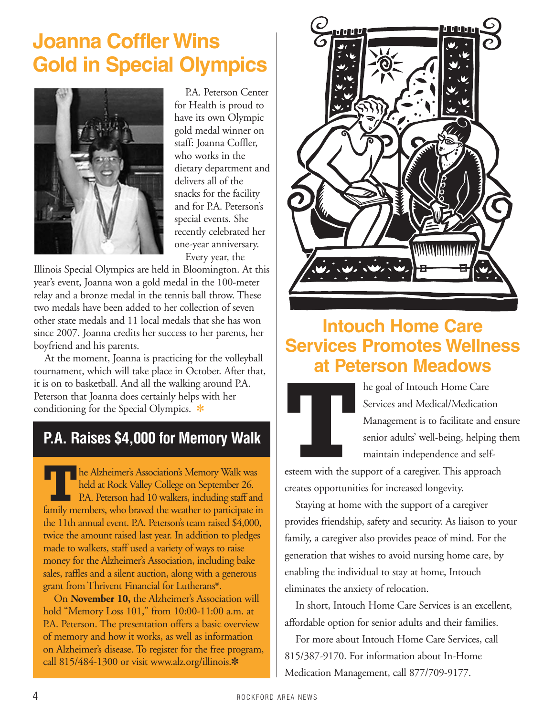## **Joanna Coffler Wins Gold in Special Olympics**



P.A. Peterson Center for Health is proud to have its own Olympic gold medal winner on staff: Joanna Coffler, who works in the dietary department and delivers all of the snacks for the facility and for P.A. Peterson's special events. She recently celebrated her one-year anniversary. Every year, the

Illinois Special Olympics are held in Bloomington. At this year's event, Joanna won a gold medal in the 100-meter relay and a bronze medal in the tennis ball throw. These two medals have been added to her collection of seven other state medals and 11 local medals that she has won since 2007. Joanna credits her success to her parents, her boyfriend and his parents.

At the moment, Joanna is practicing for the volleyball tournament, which will take place in October. After that, it is on to basketball. And all the walking around P.A. Peterson that Joanna does certainly helps with her conditioning for the Special Olympics.  $*$ 

### **P.A. Raises \$4,000 for Memory Walk**

**he Alzheimer's Association's Memory Walk was** held at Rock Valley College on September 26. **P.A. Peterson had 10 walkers, including staff and** family members, who braved the weather to participate in the 11th annual event. P.A. Peterson's team raised \$4,000, twice the amount raised last year. In addition to pledges made to walkers, staff used a variety of ways to raise money for the Alzheimer's Association, including bake sales, raffles and a silent auction, along with a generous grant from Thrivent Financial for Lutherans®.

On **November 10,** the Alzheimer's Association will hold "Memory Loss 101," from 10:00-11:00 a.m. at P.A. Peterson. The presentation offers a basic overview of memory and how it works, as well as information on Alzheimer's disease. To register for the free program, call 815/484-1300 or visit www.alz.org/illinois.\*



## **Intouch Home Care Services Promotes Wellness at Peterson Meadows**



**THE MANUSING ISLAND ISLAND THE GENERAL SERVICES and Medical/Medication Management is to facilitate and senior adults' well-being, helpir maintain independence and sel esteem with the support of a caregiver. This approach** Services and Medical/Medication Management is to facilitate and ensure senior adults' well-being, helping them maintain independence and self-

esteem with the support of a caregiver. This approach creates opportunities for increased longevity.

Staying at home with the support of a caregiver provides friendship, safety and security. As liaison to your family, a caregiver also provides peace of mind. For the generation that wishes to avoid nursing home care, by enabling the individual to stay at home, Intouch eliminates the anxiety of relocation.

In short, Intouch Home Care Services is an excellent, affordable option for senior adults and their families.

For more about Intouch Home Care Services, call 815/387-9170. For information about In-Home Medication Management, call 877/709-9177.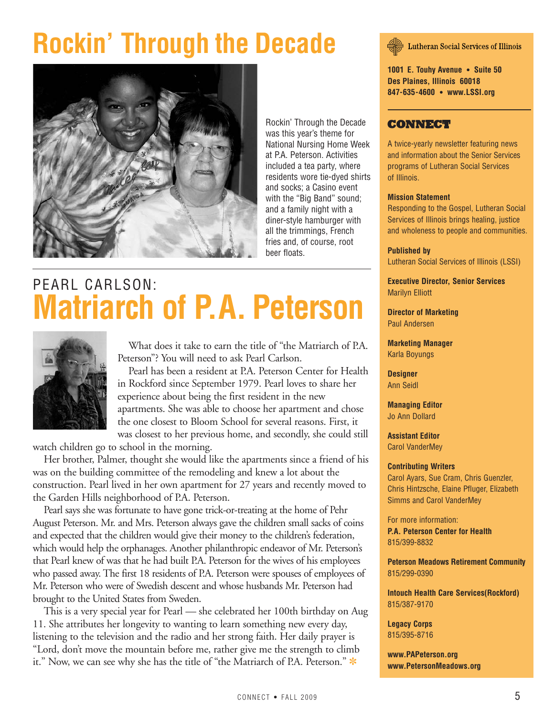# **Rockin' Through the Decade**



Rockin' Through the Decade was this year's theme for National Nursing Home Week at P.A. Peterson. Activities included a tea party, where residents wore tie-dyed shirts and socks; a Casino event with the "Big Band" sound; and a family night with a diner-style hamburger with all the trimmings, French fries and, of course, root beer floats.

# PEARL CARLSON: **Matriarch of P.A. Peterson**



What does it take to earn the title of "the Matriarch of P.A. Peterson"? You will need to ask Pearl Carlson.

Pearl has been a resident at P.A. Peterson Center for Health in Rockford since September 1979. Pearl loves to share her experience about being the first resident in the new apartments. She was able to choose her apartment and chose the one closest to Bloom School for several reasons. First, it was closest to her previous home, and secondly, she could still

watch children go to school in the morning.

Her brother, Palmer, thought she would like the apartments since a friend of his was on the building committee of the remodeling and knew a lot about the construction. Pearl lived in her own apartment for 27 years and recently moved to the Garden Hills neighborhood of P.A. Peterson.

Pearl says she was fortunate to have gone trick-or-treating at the home of Pehr August Peterson. Mr. and Mrs. Peterson always gave the children small sacks of coins and expected that the children would give their money to the children's federation, which would help the orphanages. Another philanthropic endeavor of Mr. Peterson's that Pearl knew of was that he had built P.A. Peterson for the wives of his employees who passed away. The first 18 residents of P.A. Peterson were spouses of employees of Mr. Peterson who were of Swedish descent and whose husbands Mr. Peterson had brought to the United States from Sweden.

This is a very special year for Pearl — she celebrated her 100th birthday on Aug 11. She attributes her longevity to wanting to learn something new every day, listening to the television and the radio and her strong faith. Her daily prayer is "Lord, don't move the mountain before me, rather give me the strength to climb it." Now, we can see why she has the title of "the Matriarch of P.A. Peterson."

**Lutheran Social Services of Illinois** 

**1001 E. Touhy Avenue • Suite 50 Des Plaines, Illinois 60018 847-635-4600 • www.LSSI.org**

### **CONNECT**

A twice-yearly newsletter featuring news and information about the Senior Services programs of Lutheran Social Services of Illinois.

#### **Mission Statement**

Responding to the Gospel, Lutheran Social Services of Illinois brings healing, justice and wholeness to people and communities.

#### **Published by**

Lutheran Social Services of Illinois (LSSI)

**Executive Director, Senior Services** Marilyn Elliott

**Director of Marketing** Paul Andersen

**Marketing Manager** Karla Boyungs

**Designer** Ann Seidl

**Managing Editor** Jo Ann Dollard

**Assistant Editor** Carol VanderMey

#### **Contributing Writers**

Carol Ayars, Sue Cram, Chris Guenzler, Chris Hintzsche, Elaine Pfluger, Elizabeth Simms and Carol VanderMey

For more information: **P.A. Peterson Center for Health** 815/399-8832

**Peterson Meadows Retirement Community** 815/299-0390

**Intouch Health Care Services(Rockford)** 815/387-9170

**Legacy Corps** 815/395-8716

**www.PAPeterson.org www.PetersonMeadows.org**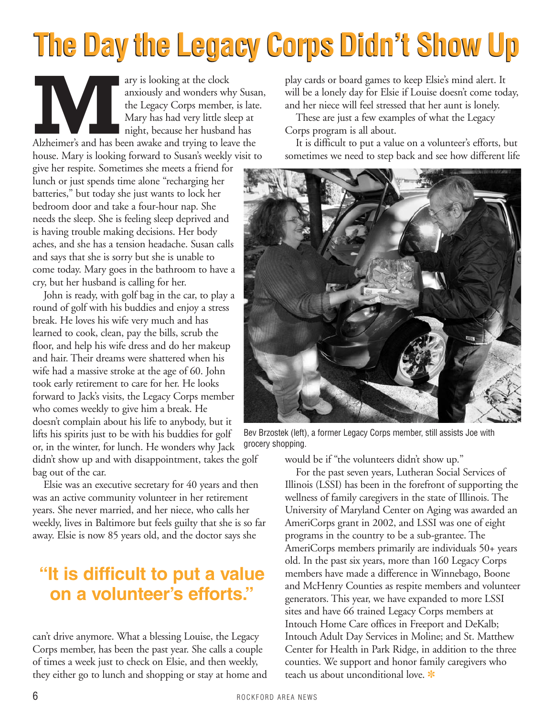# **The Day the Legacy Corps Didn't Show Up The Day the Legacy Corps Didn't Show Up**

ary is looking at the clock<br>anxiously and wonders when the Legacy Corps member<br>Mary has had very little sleeping the cause her husband<br>pight, because her husband anxiously and wonders why Susan, the Legacy Corps member, is late. Mary has had very little sleep at night, because her husband has Alzheimer's and has been awake and trying to leave the house. Mary is looking forward to Susan's weekly visit to

give her respite. Sometimes she meets a friend for lunch or just spends time alone "recharging her batteries," but today she just wants to lock her bedroom door and take a four-hour nap. She needs the sleep. She is feeling sleep deprived and is having trouble making decisions. Her body aches, and she has a tension headache. Susan calls and says that she is sorry but she is unable to come today. Mary goes in the bathroom to have a cry, but her husband is calling for her.

John is ready, with golf bag in the car, to play a round of golf with his buddies and enjoy a stress break. He loves his wife very much and has learned to cook, clean, pay the bills, scrub the floor, and help his wife dress and do her makeup and hair. Their dreams were shattered when his wife had a massive stroke at the age of 60. John took early retirement to care for her. He looks forward to Jack's visits, the Legacy Corps member who comes weekly to give him a break. He doesn't complain about his life to anybody, but it lifts his spirits just to be with his buddies for golf or, in the winter, for lunch. He wonders why Jack

didn't show up and with disappointment, takes the golf bag out of the car.

Elsie was an executive secretary for 40 years and then was an active community volunteer in her retirement years. She never married, and her niece, who calls her weekly, lives in Baltimore but feels guilty that she is so far away. Elsie is now 85 years old, and the doctor says she

## **"It is difficult to put a value on a volunteer's efforts."**

can't drive anymore. What a blessing Louise, the Legacy Corps member, has been the past year. She calls a couple of times a week just to check on Elsie, and then weekly, they either go to lunch and shopping or stay at home and play cards or board games to keep Elsie's mind alert. It will be a lonely day for Elsie if Louise doesn't come today, and her niece will feel stressed that her aunt is lonely.

These are just a few examples of what the Legacy Corps program is all about.

It is difficult to put a value on a volunteer's efforts, but sometimes we need to step back and see how different life



Bev Brzostek (left), a former Legacy Corps member, still assists Joe with grocery shopping.

would be if "the volunteers didn't show up."

For the past seven years, Lutheran Social Services of Illinois (LSSI) has been in the forefront of supporting the wellness of family caregivers in the state of Illinois. The University of Maryland Center on Aging was awarded an AmeriCorps grant in 2002, and LSSI was one of eight programs in the country to be a sub-grantee. The AmeriCorps members primarily are individuals 50+ years old. In the past six years, more than 160 Legacy Corps members have made a difference in Winnebago, Boone and McHenry Counties as respite members and volunteer generators. This year, we have expanded to more LSSI sites and have 66 trained Legacy Corps members at Intouch Home Care offices in Freeport and DeKalb; Intouch Adult Day Services in Moline; and St. Matthew Center for Health in Park Ridge, in addition to the three counties. We support and honor family caregivers who teach us about unconditional love.  $*$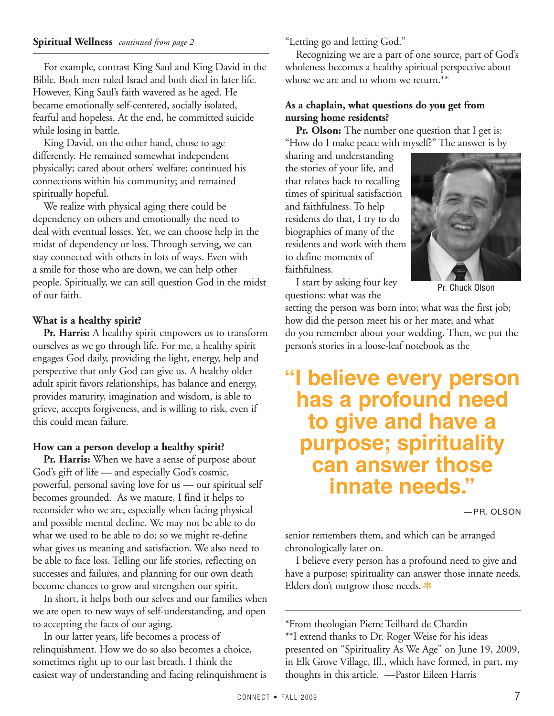### **Spiritual Wellness** *continued from page 2*

For example, contrast King Saul and King David in the Bible. Both men ruled Israel and both died in later life. However, King Saul's faith wavered as he aged. He became emotionally self-centered, socially isolated, fearful and hopeless. At the end, he committed suicide while losing in battle.

King David, on the other hand, chose to age differently. He remained somewhat independent physically; cared about others' welfare; continued his connections within his community; and remained spiritually hopeful.

We realize with physical aging there could be dependency on others and emotionally the need to deal with eventual losses. Yet, we can choose help in the midst of dependency or loss. Through serving, we can stay connected with others in lots of ways. Even with a smile for those who are down, we can help other people. Spiritually, we can still question God in the midst of our faith.

### **What is a healthy spirit?**

**Pr. Harris:** A healthy spirit empowers us to transform ourselves as we go through life. For me, a healthy spirit engages God daily, providing the light, energy, help and perspective that only God can give us. A healthy older adult spirit favors relationships, has balance and energy, provides maturity, imagination and wisdom, is able to grieve, accepts forgiveness, and is willing to risk, even if this could mean failure.

### **How can a person develop a healthy spirit?**

**Pr. Harris:** When we have a sense of purpose about God's gift of life — and especially God's cosmic, powerful, personal saving love for us — our spiritual self becomes grounded. As we mature, I find it helps to reconsider who we are, especially when facing physical and possible mental decline. We may not be able to do what we used to be able to do; so we might re-define what gives us meaning and satisfaction. We also need to be able to face loss. Telling our life stories, reflecting on successes and failures, and planning for our own death become chances to grow and strengthen our spirit.

In short, it helps both our selves and our families when we are open to new ways of self-understanding, and open to accepting the facts of our aging.

In our latter years, life becomes a process of relinquishment. How we do so also becomes a choice, sometimes right up to our last breath. I think the easiest way of understanding and facing relinquishment is "Letting go and letting God."

Recognizing we are a part of one source, part of God's wholeness becomes a healthy spiritual perspective about whose we are and to whom we return.\*\*

### **As a chaplain, what questions do you get from nursing home residents?**

**Pr. Olson:** The number one question that I get is: "How do I make peace with myself?" The answer is by

sharing and understanding the stories of your life, and that relates back to recalling times of spiritual satisfaction and faithfulness. To help residents do that, I try to do biographies of many of the residents and work with them to define moments of faithfulness.



I start by asking four key questions: what was the

Pr. Chuck Olson

setting the person was born into; what was the first job; how did the person meet his or her mate; and what do you remember about your wedding. Then, we put the person's stories in a loose-leaf notebook as the

## **"I believe every person has a profound need to give and have a purpose; spirituality can answer those innate needs."**

—PR. OLSON

senior remembers them, and which can be arranged chronologically later on.

I believe every person has a profound need to give and have a purpose; spirituality can answer those innate needs. Elders don't outgrow those needs.  $*$ 

\*From theologian Pierre Teilhard de Chardin \*\*I extend thanks to Dr. Roger Weise for his ideas presented on "Spirituality As We Age" on June 19, 2009, in Elk Grove Village, Ill., which have formed, in part, my thoughts in this article. —Pastor Eileen Harris